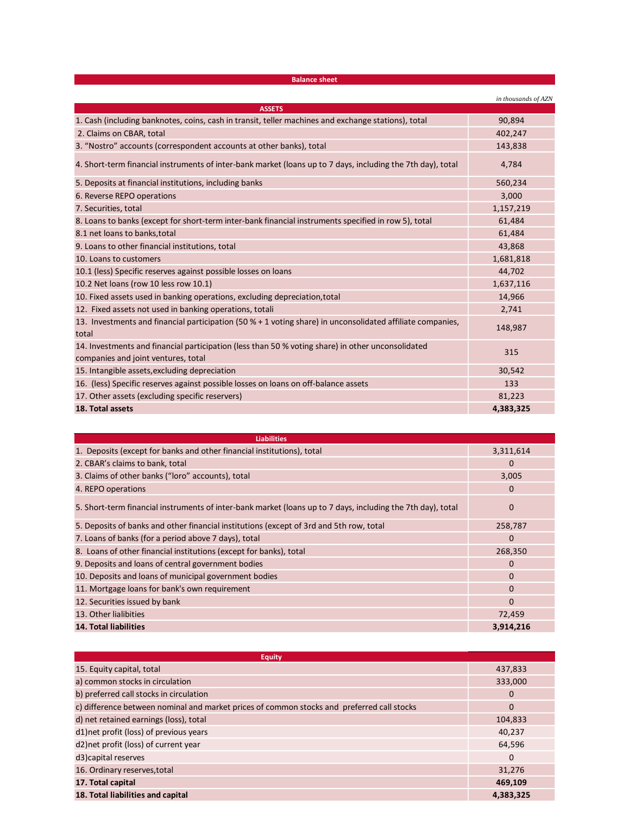| <b>Balance sheet</b>                                                                                                                     |                     |
|------------------------------------------------------------------------------------------------------------------------------------------|---------------------|
|                                                                                                                                          | in thousands of AZN |
| <b>ASSETS</b>                                                                                                                            |                     |
| 1. Cash (including banknotes, coins, cash in transit, teller machines and exchange stations), total                                      | 90,894              |
| 2. Claims on CBAR, total                                                                                                                 | 402,247             |
| 3. "Nostro" accounts (correspondent accounts at other banks), total                                                                      | 143,838             |
| 4. Short-term financial instruments of inter-bank market (loans up to 7 days, including the 7th day), total                              | 4,784               |
| 5. Deposits at financial institutions, including banks                                                                                   | 560,234             |
| 6. Reverse REPO operations                                                                                                               | 3,000               |
| 7. Securities, total                                                                                                                     | 1,157,219           |
| 8. Loans to banks (except for short-term inter-bank financial instruments specified in row 5), total                                     | 61,484              |
| 8.1 net loans to banks, total                                                                                                            | 61,484              |
| 9. Loans to other financial institutions, total                                                                                          | 43,868              |
| 10. Loans to customers                                                                                                                   | 1,681,818           |
| 10.1 (less) Specific reserves against possible losses on loans                                                                           | 44,702              |
| 10.2 Net loans (row 10 less row 10.1)                                                                                                    | 1,637,116           |
| 10. Fixed assets used in banking operations, excluding depreciation, total                                                               | 14,966              |
| 12. Fixed assets not used in banking operations, totali                                                                                  | 2,741               |
| 13. Investments and financial participation (50 % + 1 voting share) in unconsolidated affiliate companies,<br>total                      | 148,987             |
| 14. Investments and financial participation (less than 50 % voting share) in other unconsolidated<br>companies and joint ventures, total | 315                 |
| 15. Intangible assets, excluding depreciation                                                                                            | 30,542              |
| 16. (less) Specific reserves against possible losses on loans on off-balance assets                                                      | 133                 |
| 17. Other assets (excluding specific reservers)                                                                                          | 81,223              |
| 18. Total assets                                                                                                                         | 4,383,325           |

| <b>Liabilities</b>                                                                                          |             |
|-------------------------------------------------------------------------------------------------------------|-------------|
| 1. Deposits (except for banks and other financial institutions), total                                      | 3,311,614   |
| 2. CBAR's claims to bank, total                                                                             | $\Omega$    |
| 3. Claims of other banks ("loro" accounts), total                                                           | 3,005       |
| 4. REPO operations                                                                                          | 0           |
| 5. Short-term financial instruments of inter-bank market (loans up to 7 days, including the 7th day), total | $\mathbf 0$ |
| 5. Deposits of banks and other financial institutions (except of 3rd and 5th row, total                     | 258,787     |
| 7. Loans of banks (for a period above 7 days), total                                                        | $\Omega$    |
| 8. Loans of other financial institutions (except for banks), total                                          | 268,350     |
| 9. Deposits and loans of central government bodies                                                          | 0           |
| 10. Deposits and loans of municipal government bodies                                                       | $\Omega$    |
| 11. Mortgage loans for bank's own requirement                                                               | $\Omega$    |
| 12. Securities issued by bank                                                                               | $\Omega$    |
| 13. Other lialibities                                                                                       | 72,459      |
| <b>14. Total liabilities</b>                                                                                | 3,914,216   |

| <b>Equity</b>                                                                              |             |
|--------------------------------------------------------------------------------------------|-------------|
| 15. Equity capital, total                                                                  | 437,833     |
| a) common stocks in circulation                                                            | 333,000     |
| b) preferred call stocks in circulation                                                    | 0           |
| c) difference between nominal and market prices of common stocks and preferred call stocks | $\Omega$    |
| d) net retained earnings (loss), total                                                     | 104,833     |
| d1)net profit (loss) of previous years                                                     | 40,237      |
| d2) net profit (loss) of current year                                                      | 64,596      |
| d3) capital reserves                                                                       | $\mathbf 0$ |
| 16. Ordinary reserves, total                                                               | 31,276      |
| 17. Total capital                                                                          | 469,109     |
| 18. Total liabilities and capital                                                          | 4,383,325   |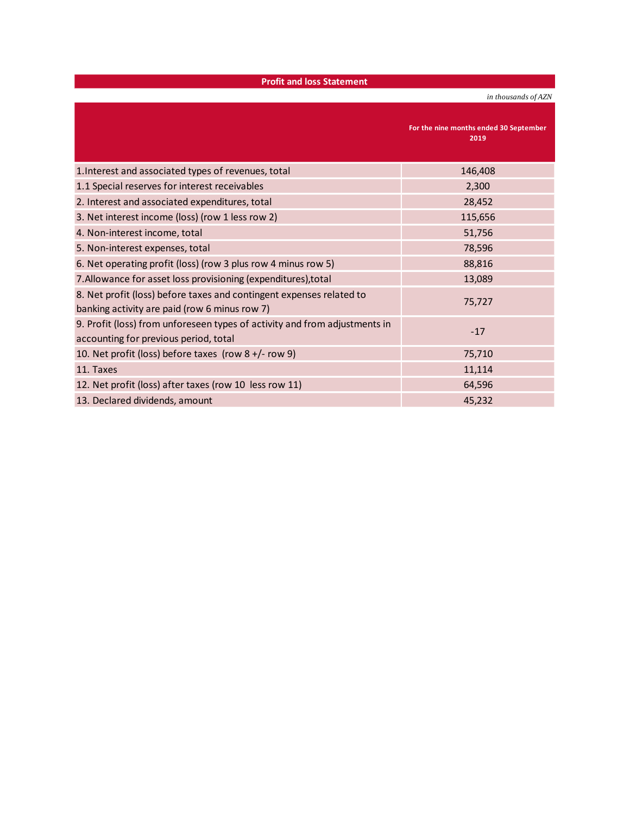|  | <b>Profit and loss Statement</b> |  |
|--|----------------------------------|--|
|  |                                  |  |

*in thousands of AZN*

**For the nine months ended 30 September 2019** 1.Interest and associated types of revenues, total 116,408 and 146,408 1.1 Special reserves for interest receivables 2,300 and 2,300 and 2,300 and 2,300 and 2,300 and 2,300 and 2,300 2. Interest and associated expenditures, total 28,452 3. Net interest income (loss) (row 1 less row 2) 115,656 4. Non-interest income, total 51,756 5. Non-interest expenses, total 78,596 6. Net operating profit (loss) (row 3 plus row 4 minus row 5) 88,816 7. Allowance for asset loss provisioning (expenditures), total 13,089 and 13,089 8. Net profit (loss) before taxes and contingent expenses related to banking activity are paid (row 6 minus row 7) banking activity are paid (row 6 minus row 7) 9. Profit (loss) from unforeseen types of activity and from adjustments in accounting for previous period, total -17<br>accounting for previous period, total 10. Net profit (loss) before taxes (row 8 +/- row 9) 75,710 11. Taxes  $11.114$ 12. Net profit (loss) after taxes (row 10 less row 11) 64,596 13. Declared dividends, amount 1.1. The control of the control of the control of the control of the control of the control of the control of the control of the control of the control of the control of the control of the co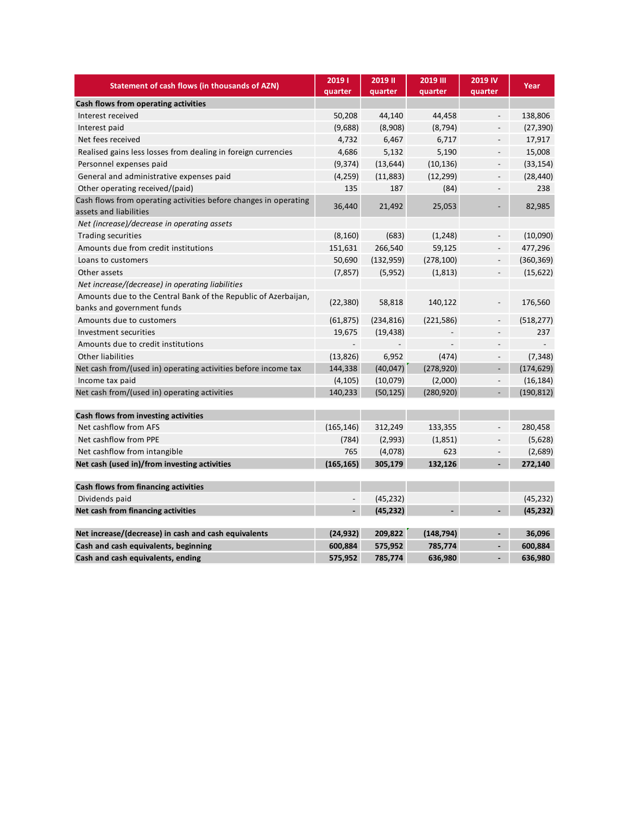| Statement of cash flows (in thousands of AZN)                                                | 20191<br>quarter | 2019 II<br>quarter | <b>2019 III</b><br>quarter | 2019 IV<br>quarter           | Year       |
|----------------------------------------------------------------------------------------------|------------------|--------------------|----------------------------|------------------------------|------------|
| Cash flows from operating activities                                                         |                  |                    |                            |                              |            |
| Interest received                                                                            | 50,208           | 44,140             | 44,458                     | $\overline{\phantom{a}}$     | 138,806    |
| Interest paid                                                                                | (9,688)          | (8,908)            | (8, 794)                   |                              | (27, 390)  |
| Net fees received                                                                            | 4,732            | 6,467              | 6,717                      | $\overline{\phantom{m}}$     | 17,917     |
| Realised gains less losses from dealing in foreign currencies                                | 4,686            | 5,132              | 5,190                      | $\overline{\phantom{m}}$     | 15,008     |
| Personnel expenses paid                                                                      | (9, 374)         | (13, 644)          | (10, 136)                  | $\overline{\phantom{0}}$     | (33, 154)  |
| General and administrative expenses paid                                                     | (4, 259)         | (11,883)           | (12, 299)                  | $\overline{\phantom{m}}$     | (28, 440)  |
| Other operating received/(paid)                                                              | 135              | 187                | (84)                       | $\overline{a}$               | 238        |
| Cash flows from operating activities before changes in operating<br>assets and liabilities   | 36,440           | 21,492             | 25,053                     | $\overline{\phantom{a}}$     | 82,985     |
| Net (increase)/decrease in operating assets                                                  |                  |                    |                            |                              |            |
| <b>Trading securities</b>                                                                    | (8, 160)         | (683)              | (1, 248)                   | $\overline{\phantom{0}}$     | (10,090)   |
| Amounts due from credit institutions                                                         | 151,631          | 266,540            | 59,125                     | $\frac{1}{2}$                | 477,296    |
| Loans to customers                                                                           | 50,690           | (132, 959)         | (278, 100)                 | $\overline{\phantom{0}}$     | (360, 369) |
| Other assets                                                                                 | (7, 857)         | (5,952)            | (1, 813)                   | $\overline{\phantom{0}}$     | (15, 622)  |
| Net increase/(decrease) in operating liabilities                                             |                  |                    |                            |                              |            |
| Amounts due to the Central Bank of the Republic of Azerbaijan,<br>banks and government funds | (22, 380)        | 58,818             | 140,122                    |                              | 176,560    |
| Amounts due to customers                                                                     | (61, 875)        | (234, 816)         | (221, 586)                 | ÷,                           | (518, 277) |
| Investment securities                                                                        | 19,675           | (19, 438)          |                            |                              | 237        |
| Amounts due to credit institutions                                                           |                  |                    |                            |                              |            |
| <b>Other liabilities</b>                                                                     | (13, 826)        | 6,952              | (474)                      | $\overline{\phantom{0}}$     | (7, 348)   |
| Net cash from/(used in) operating activities before income tax                               | 144,338          | (40, 047)          | (278, 920)                 | ÷,                           | (174, 629) |
| Income tax paid                                                                              | (4, 105)         | (10,079)           | (2,000)                    | $\overline{\phantom{a}}$     | (16, 184)  |
| Net cash from/(used in) operating activities                                                 | 140,233          | (50, 125)          | (280, 920)                 | $\blacksquare$               | (190, 812) |
| Cash flows from investing activities                                                         |                  |                    |                            |                              |            |
| Net cashflow from AFS                                                                        | (165, 146)       | 312,249            | 133,355                    |                              | 280,458    |
| Net cashflow from PPE                                                                        | (784)            | (2,993)            | (1,851)                    | $\qquad \qquad \blacksquare$ | (5,628)    |
| Net cashflow from intangible                                                                 | 765              | (4,078)            | 623                        |                              | (2,689)    |
| Net cash (used in)/from investing activities                                                 | (165, 165)       | 305,179            | 132,126                    | $\blacksquare$               | 272,140    |
| Cash flows from financing activities                                                         |                  |                    |                            |                              |            |
| Dividends paid                                                                               | $\overline{a}$   | (45, 232)          |                            |                              | (45, 232)  |
| Net cash from financing activities                                                           | $\overline{a}$   | (45, 232)          |                            | ÷,                           | (45, 232)  |
| Net increase/(decrease) in cash and cash equivalents                                         | (24,932)         | 209,822            | (148, 794)                 |                              | 36,096     |
| Cash and cash equivalents, beginning                                                         | 600,884          | 575,952            | 785,774                    |                              | 600,884    |
| Cash and cash equivalents, ending                                                            | 575,952          | 785,774            | 636,980                    |                              | 636,980    |